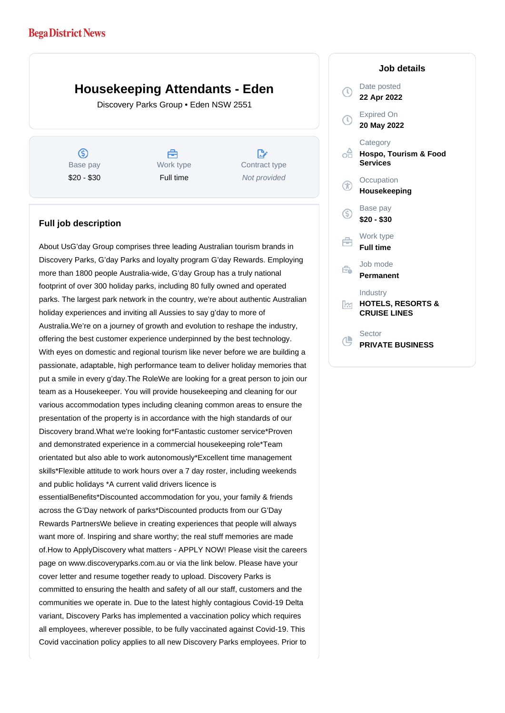## **Bega District News**

## **Housekeeping Attendants - Eden**

Discovery Parks Group • Eden NSW 2551

 $\circledS$ Base pay \$20 - \$30

A Work type Full time

 $\mathbb{R}^n$ Contract type Not provided

## **Full job description**

About UsG'day Group comprises three leading Australian tourism brands in Discovery Parks, G'day Parks and loyalty program G'day Rewards. Employing more than 1800 people Australia-wide, G'day Group has a truly national footprint of over 300 holiday parks, including 80 fully owned and operated parks. The largest park network in the country, we're about authentic Australian holiday experiences and inviting all Aussies to say g'day to more of Australia.We're on a journey of growth and evolution to reshape the industry, offering the best customer experience underpinned by the best technology. With eyes on domestic and regional tourism like never before we are building a passionate, adaptable, high performance team to deliver holiday memories that put a smile in every g'day.The RoleWe are looking for a great person to join our team as a Housekeeper. You will provide housekeeping and cleaning for our various accommodation types including cleaning common areas to ensure the presentation of the property is in accordance with the high standards of our Discovery brand.What we're looking for\*Fantastic customer service\*Proven and demonstrated experience in a commercial housekeeping role\*Team orientated but also able to work autonomously\*Excellent time management skills\*Flexible attitude to work hours over a 7 day roster, including weekends and public holidays \*A current valid drivers licence is essentialBenefits\*Discounted accommodation for you, your family & friends across the G'Day network of parks\*Discounted products from our G'Day Rewards PartnersWe believe in creating experiences that people will always want more of. Inspiring and share worthy; the real stuff memories are made of.How to ApplyDiscovery what matters - APPLY NOW! Please visit the careers page on www.discoveryparks.com.au or via the link below. Please have your cover letter and resume together ready to upload. Discovery Parks is committed to ensuring the health and safety of all our staff, customers and the communities we operate in. Due to the latest highly contagious Covid-19 Delta variant, Discovery Parks has implemented a vaccination policy which requires all employees, wherever possible, to be fully vaccinated against Covid-19. This Covid vaccination policy applies to all new Discovery Parks employees. Prior to

## Date posted  $\circ$ **22 Apr 2022** Expired On **20 May 2022 Category** ofi **Hospo, Tourism & Food Services Occupation Housekeeping** Base pay <sub>(S)</sub> **\$20 - \$30** Work type **Full time** Job mode Ê. **Permanent** Industry **HOTELS, RESORTS &** Ŀм **CRUISE LINES Sector**  $\mathbb{L}$ **PRIVATE BUSINESS**

**Job details**